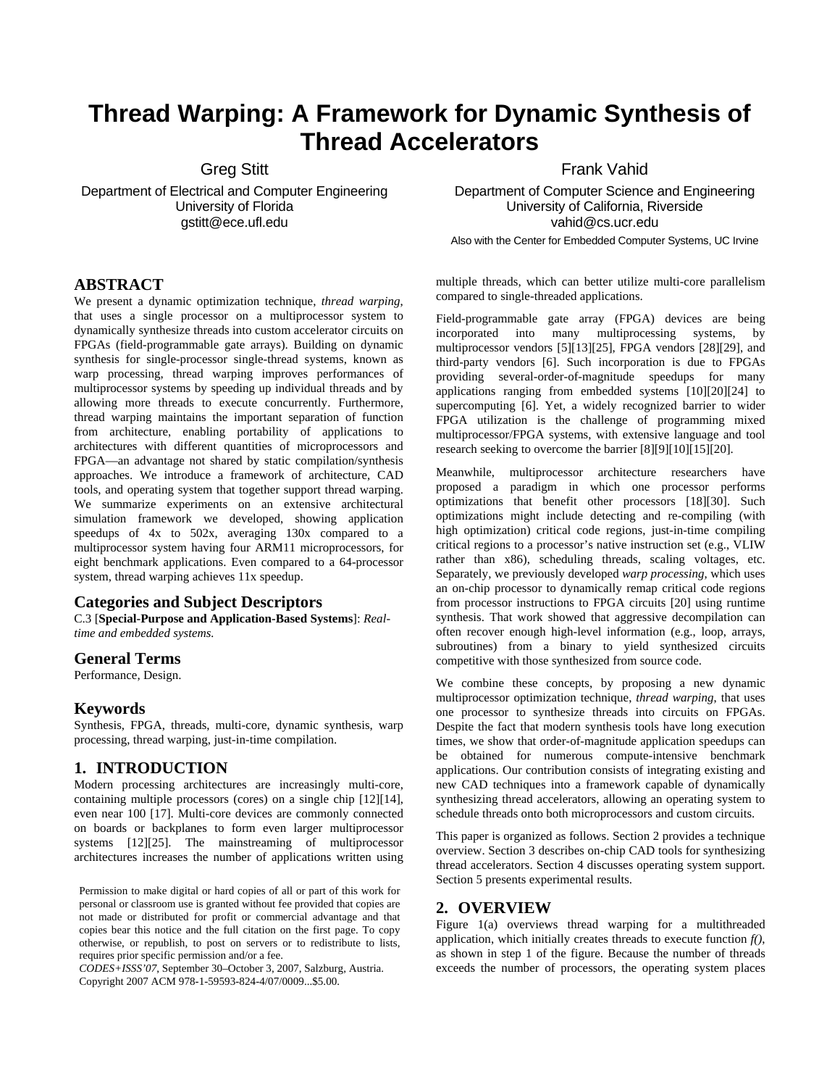# **Thread Warping: A Framework for Dynamic Synthesis of Thread Accelerators**

Greg Stitt

Department of Electrical and Computer Engineering University of Florida gstitt@ece.ufl.edu

# **ABSTRACT**

We present a dynamic optimization technique, *thread warping*, that uses a single processor on a multiprocessor system to dynamically synthesize threads into custom accelerator circuits on FPGAs (field-programmable gate arrays). Building on dynamic synthesis for single-processor single-thread systems, known as warp processing, thread warping improves performances of multiprocessor systems by speeding up individual threads and by allowing more threads to execute concurrently. Furthermore, thread warping maintains the important separation of function from architecture, enabling portability of applications to architectures with different quantities of microprocessors and FPGA—an advantage not shared by static compilation/synthesis approaches. We introduce a framework of architecture, CAD tools, and operating system that together support thread warping. We summarize experiments on an extensive architectural simulation framework we developed, showing application speedups of 4x to 502x, averaging 130x compared to a multiprocessor system having four ARM11 microprocessors, for eight benchmark applications. Even compared to a 64-processor system, thread warping achieves 11x speedup.

## **Categories and Subject Descriptors**

C.3 [**Special-Purpose and Application-Based Systems**]: *Realtime and embedded systems.* 

### **General Terms**

Performance, Design.

### **Keywords**

Synthesis, FPGA, threads, multi-core, dynamic synthesis, warp processing, thread warping, just-in-time compilation.

# **1. INTRODUCTION**

Modern processing architectures are increasingly multi-core, containing multiple processors (cores) on a single chip [12][14], even near 100 [17]. Multi-core devices are commonly connected on boards or backplanes to form even larger multiprocessor systems [12][25]. The mainstreaming of multiprocessor architectures increases the number of applications written using

Permission to make digital or hard copies of all or part of this work for personal or classroom use is granted without fee provided that copies are not made or distributed for profit or commercial advantage and that copies bear this notice and the full citation on the first page. To copy otherwise, or republish, to post on servers or to redistribute to lists, requires prior specific permission and/or a fee.

*CODES+ISSS'07*, September 30–October 3, 2007, Salzburg, Austria. Copyright 2007 ACM 978-1-59593-824-4/07/0009...\$5.00.

Frank Vahid

Department of Computer Science and Engineering University of California, Riverside vahid@cs.ucr.edu

Also with the Center for Embedded Computer Systems, UC Irvine

multiple threads, which can better utilize multi-core parallelism compared to single-threaded applications.

Field-programmable gate array (FPGA) devices are being incorporated into many multiprocessing systems, by multiprocessor vendors [5][13][25], FPGA vendors [28][29], and third-party vendors [6]. Such incorporation is due to FPGAs providing several-order-of-magnitude speedups for many applications ranging from embedded systems [10][20][24] to supercomputing [6]. Yet, a widely recognized barrier to wider FPGA utilization is the challenge of programming mixed multiprocessor/FPGA systems, with extensive language and tool research seeking to overcome the barrier [8][9][10][15][20].

Meanwhile, multiprocessor architecture researchers have proposed a paradigm in which one processor performs optimizations that benefit other processors [18][30]. Such optimizations might include detecting and re-compiling (with high optimization) critical code regions, just-in-time compiling critical regions to a processor's native instruction set (e.g., VLIW rather than x86), scheduling threads, scaling voltages, etc. Separately, we previously developed *warp processing*, which uses an on-chip processor to dynamically remap critical code regions from processor instructions to FPGA circuits [20] using runtime synthesis. That work showed that aggressive decompilation can often recover enough high-level information (e.g., loop, arrays, subroutines) from a binary to yield synthesized circuits competitive with those synthesized from source code.

We combine these concepts, by proposing a new dynamic multiprocessor optimization technique, *thread warping*, that uses one processor to synthesize threads into circuits on FPGAs. Despite the fact that modern synthesis tools have long execution times, we show that order-of-magnitude application speedups can be obtained for numerous compute-intensive benchmark applications. Our contribution consists of integrating existing and new CAD techniques into a framework capable of dynamically synthesizing thread accelerators, allowing an operating system to schedule threads onto both microprocessors and custom circuits.

This paper is organized as follows. Section 2 provides a technique overview. Section 3 describes on-chip CAD tools for synthesizing thread accelerators. Section 4 discusses operating system support. Section 5 presents experimental results.

## **2. OVERVIEW**

Figure 1(a) overviews thread warping for a multithreaded application, which initially creates threads to execute function *f()*, as shown in step 1 of the figure. Because the number of threads exceeds the number of processors, the operating system places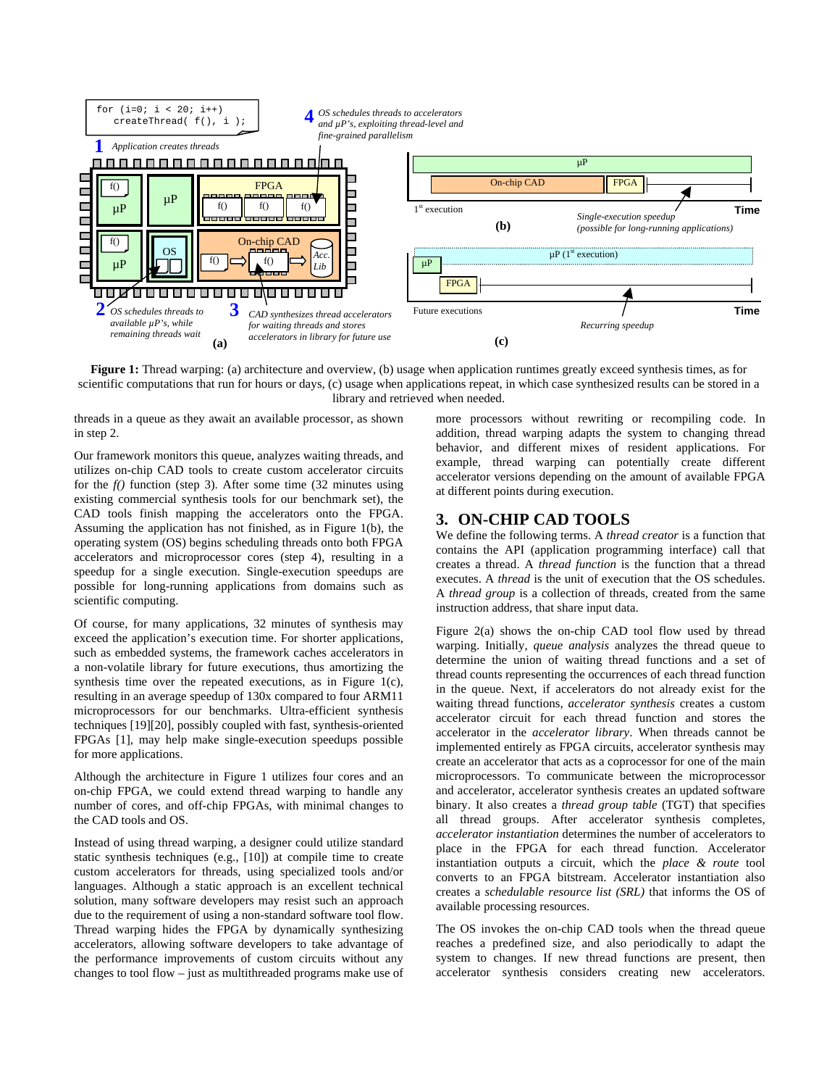

**Figure 1:** Thread warping: (a) architecture and overview, (b) usage when application runtimes greatly exceed synthesis times, as for scientific computations that run for hours or days, (c) usage when applications repeat, in which case synthesized results can be stored in a library and retrieved when needed.

threads in a queue as they await an available processor, as shown in step 2.

Our framework monitors this queue, analyzes waiting threads, and utilizes on-chip CAD tools to create custom accelerator circuits for the *f()* function (step 3). After some time (32 minutes using existing commercial synthesis tools for our benchmark set), the CAD tools finish mapping the accelerators onto the FPGA. Assuming the application has not finished, as in Figure 1(b), the operating system (OS) begins scheduling threads onto both FPGA accelerators and microprocessor cores (step 4), resulting in a speedup for a single execution. Single-execution speedups are possible for long-running applications from domains such as scientific computing.

Of course, for many applications, 32 minutes of synthesis may exceed the application's execution time. For shorter applications, such as embedded systems, the framework caches accelerators in a non-volatile library for future executions, thus amortizing the synthesis time over the repeated executions, as in Figure 1(c), resulting in an average speedup of 130x compared to four ARM11 microprocessors for our benchmarks. Ultra-efficient synthesis techniques [19][20], possibly coupled with fast, synthesis-oriented FPGAs [1], may help make single-execution speedups possible for more applications.

Although the architecture in Figure 1 utilizes four cores and an on-chip FPGA, we could extend thread warping to handle any number of cores, and off-chip FPGAs, with minimal changes to the CAD tools and OS.

Instead of using thread warping, a designer could utilize standard static synthesis techniques (e.g., [10]) at compile time to create custom accelerators for threads, using specialized tools and/or languages. Although a static approach is an excellent technical solution, many software developers may resist such an approach due to the requirement of using a non-standard software tool flow. Thread warping hides the FPGA by dynamically synthesizing accelerators, allowing software developers to take advantage of the performance improvements of custom circuits without any changes to tool flow – just as multithreaded programs make use of more processors without rewriting or recompiling code. In addition, thread warping adapts the system to changing thread behavior, and different mixes of resident applications. For example, thread warping can potentially create different accelerator versions depending on the amount of available FPGA at different points during execution.

# **3. ON-CHIP CAD TOOLS**

We define the following terms. A *thread creator* is a function that contains the API (application programming interface) call that creates a thread. A *thread function* is the function that a thread executes. A *thread* is the unit of execution that the OS schedules. A *thread group* is a collection of threads, created from the same instruction address, that share input data.

Figure 2(a) shows the on-chip CAD tool flow used by thread warping. Initially, *queue analysis* analyzes the thread queue to determine the union of waiting thread functions and a set of thread counts representing the occurrences of each thread function in the queue. Next, if accelerators do not already exist for the waiting thread functions, *accelerator synthesis* creates a custom accelerator circuit for each thread function and stores the accelerator in the *accelerator library*. When threads cannot be implemented entirely as FPGA circuits, accelerator synthesis may create an accelerator that acts as a coprocessor for one of the main microprocessors. To communicate between the microprocessor and accelerator, accelerator synthesis creates an updated software binary. It also creates a *thread group table* (TGT) that specifies all thread groups. After accelerator synthesis completes, *accelerator instantiation* determines the number of accelerators to place in the FPGA for each thread function. Accelerator instantiation outputs a circuit, which the *place & route* tool converts to an FPGA bitstream. Accelerator instantiation also creates a *schedulable resource list (SRL)* that informs the OS of available processing resources.

The OS invokes the on-chip CAD tools when the thread queue reaches a predefined size, and also periodically to adapt the system to changes. If new thread functions are present, then accelerator synthesis considers creating new accelerators.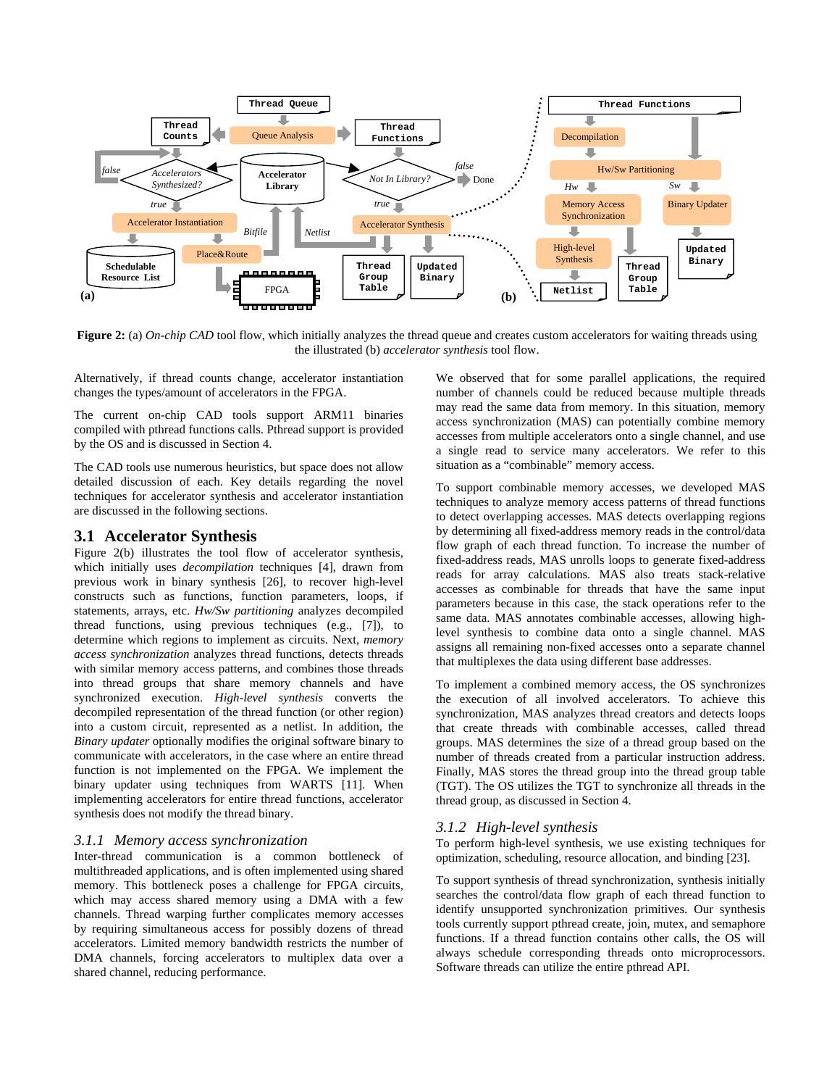

**Figure 2:** (a) *On-chip CAD* tool flow, which initially analyzes the thread queue and creates custom accelerators for waiting threads using the illustrated (b) *accelerator synthesis* tool flow.

Alternatively, if thread counts change, accelerator instantiation changes the types/amount of accelerators in the FPGA.

The current on-chip CAD tools support ARM11 binaries compiled with pthread functions calls. Pthread support is provided by the OS and is discussed in Section 4.

The CAD tools use numerous heuristics, but space does not allow detailed discussion of each. Key details regarding the novel techniques for accelerator synthesis and accelerator instantiation are discussed in the following sections.

## **3.1 Accelerator Synthesis**

Figure 2(b) illustrates the tool flow of accelerator synthesis, which initially uses *decompilation* techniques [4], drawn from previous work in binary synthesis [26], to recover high-level constructs such as functions, function parameters, loops, if statements, arrays, etc. *Hw/Sw partitioning* analyzes decompiled thread functions, using previous techniques (e.g., [7]), to determine which regions to implement as circuits. Next, *memory access synchronization* analyzes thread functions, detects threads with similar memory access patterns, and combines those threads into thread groups that share memory channels and have synchronized execution. *High-level synthesis* converts the decompiled representation of the thread function (or other region) into a custom circuit, represented as a netlist. In addition, the *Binary updater* optionally modifies the original software binary to communicate with accelerators, in the case where an entire thread function is not implemented on the FPGA. We implement the binary updater using techniques from WARTS [11]. When implementing accelerators for entire thread functions, accelerator synthesis does not modify the thread binary.

#### *3.1.1 Memory access synchronization*

Inter-thread communication is a common bottleneck of multithreaded applications, and is often implemented using shared memory. This bottleneck poses a challenge for FPGA circuits, which may access shared memory using a DMA with a few channels. Thread warping further complicates memory accesses by requiring simultaneous access for possibly dozens of thread accelerators. Limited memory bandwidth restricts the number of DMA channels, forcing accelerators to multiplex data over a shared channel, reducing performance.

We observed that for some parallel applications, the required number of channels could be reduced because multiple threads may read the same data from memory. In this situation, memory access synchronization (MAS) can potentially combine memory accesses from multiple accelerators onto a single channel, and use a single read to service many accelerators. We refer to this situation as a "combinable" memory access.

To support combinable memory accesses, we developed MAS techniques to analyze memory access patterns of thread functions to detect overlapping accesses. MAS detects overlapping regions by determining all fixed-address memory reads in the control/data flow graph of each thread function. To increase the number of fixed-address reads, MAS unrolls loops to generate fixed-address reads for array calculations. MAS also treats stack-relative accesses as combinable for threads that have the same input parameters because in this case, the stack operations refer to the same data. MAS annotates combinable accesses, allowing highlevel synthesis to combine data onto a single channel. MAS assigns all remaining non-fixed accesses onto a separate channel that multiplexes the data using different base addresses.

To implement a combined memory access, the OS synchronizes the execution of all involved accelerators. To achieve this synchronization, MAS analyzes thread creators and detects loops that create threads with combinable accesses, called thread groups. MAS determines the size of a thread group based on the number of threads created from a particular instruction address. Finally, MAS stores the thread group into the thread group table (TGT). The OS utilizes the TGT to synchronize all threads in the thread group, as discussed in Section 4.

#### *3.1.2 High-level synthesis*

To perform high-level synthesis, we use existing techniques for optimization, scheduling, resource allocation, and binding [23].

To support synthesis of thread synchronization, synthesis initially searches the control/data flow graph of each thread function to identify unsupported synchronization primitives. Our synthesis tools currently support pthread create, join, mutex, and semaphore functions. If a thread function contains other calls, the OS will always schedule corresponding threads onto microprocessors. Software threads can utilize the entire pthread API.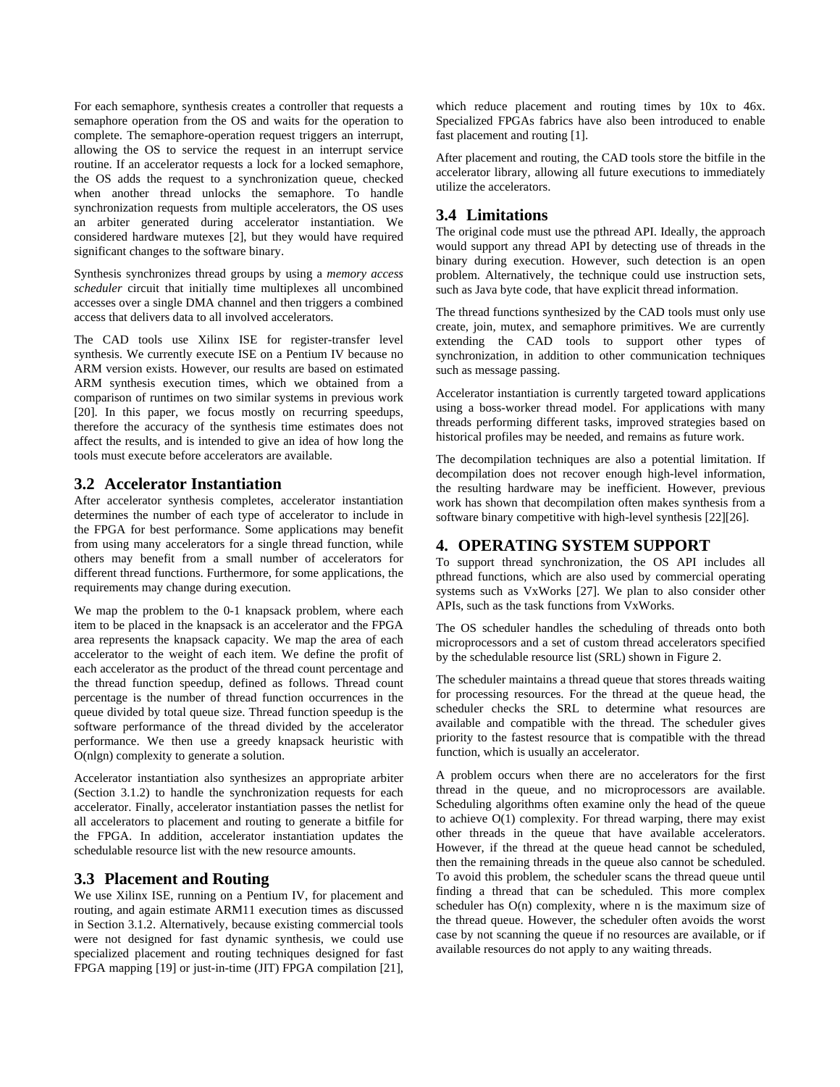For each semaphore, synthesis creates a controller that requests a semaphore operation from the OS and waits for the operation to complete. The semaphore-operation request triggers an interrupt, allowing the OS to service the request in an interrupt service routine. If an accelerator requests a lock for a locked semaphore, the OS adds the request to a synchronization queue, checked when another thread unlocks the semaphore. To handle synchronization requests from multiple accelerators, the OS uses an arbiter generated during accelerator instantiation. We considered hardware mutexes [2], but they would have required significant changes to the software binary.

Synthesis synchronizes thread groups by using a *memory access scheduler* circuit that initially time multiplexes all uncombined accesses over a single DMA channel and then triggers a combined access that delivers data to all involved accelerators.

The CAD tools use Xilinx ISE for register-transfer level synthesis. We currently execute ISE on a Pentium IV because no ARM version exists. However, our results are based on estimated ARM synthesis execution times, which we obtained from a comparison of runtimes on two similar systems in previous work [20]. In this paper, we focus mostly on recurring speedups, therefore the accuracy of the synthesis time estimates does not affect the results, and is intended to give an idea of how long the tools must execute before accelerators are available.

# **3.2 Accelerator Instantiation**

After accelerator synthesis completes, accelerator instantiation determines the number of each type of accelerator to include in the FPGA for best performance. Some applications may benefit from using many accelerators for a single thread function, while others may benefit from a small number of accelerators for different thread functions. Furthermore, for some applications, the requirements may change during execution.

We map the problem to the 0-1 knapsack problem, where each item to be placed in the knapsack is an accelerator and the FPGA area represents the knapsack capacity. We map the area of each accelerator to the weight of each item. We define the profit of each accelerator as the product of the thread count percentage and the thread function speedup, defined as follows. Thread count percentage is the number of thread function occurrences in the queue divided by total queue size. Thread function speedup is the software performance of the thread divided by the accelerator performance. We then use a greedy knapsack heuristic with O(nlgn) complexity to generate a solution.

Accelerator instantiation also synthesizes an appropriate arbiter (Section 3.1.2) to handle the synchronization requests for each accelerator. Finally, accelerator instantiation passes the netlist for all accelerators to placement and routing to generate a bitfile for the FPGA. In addition, accelerator instantiation updates the schedulable resource list with the new resource amounts.

# **3.3 Placement and Routing**

We use Xilinx ISE, running on a Pentium IV, for placement and routing, and again estimate ARM11 execution times as discussed in Section 3.1.2. Alternatively, because existing commercial tools were not designed for fast dynamic synthesis, we could use specialized placement and routing techniques designed for fast FPGA mapping [19] or just-in-time (JIT) FPGA compilation [21],

which reduce placement and routing times by 10x to 46x. Specialized FPGAs fabrics have also been introduced to enable fast placement and routing [1].

After placement and routing, the CAD tools store the bitfile in the accelerator library, allowing all future executions to immediately utilize the accelerators.

# **3.4 Limitations**

The original code must use the pthread API. Ideally, the approach would support any thread API by detecting use of threads in the binary during execution. However, such detection is an open problem. Alternatively, the technique could use instruction sets, such as Java byte code, that have explicit thread information.

The thread functions synthesized by the CAD tools must only use create, join, mutex, and semaphore primitives. We are currently extending the CAD tools to support other types of synchronization, in addition to other communication techniques such as message passing.

Accelerator instantiation is currently targeted toward applications using a boss-worker thread model. For applications with many threads performing different tasks, improved strategies based on historical profiles may be needed, and remains as future work.

The decompilation techniques are also a potential limitation. If decompilation does not recover enough high-level information, the resulting hardware may be inefficient. However, previous work has shown that decompilation often makes synthesis from a software binary competitive with high-level synthesis [22][26].

# **4. OPERATING SYSTEM SUPPORT**

To support thread synchronization, the OS API includes all pthread functions, which are also used by commercial operating systems such as VxWorks [27]. We plan to also consider other APIs, such as the task functions from VxWorks.

The OS scheduler handles the scheduling of threads onto both microprocessors and a set of custom thread accelerators specified by the schedulable resource list (SRL) shown in Figure 2.

The scheduler maintains a thread queue that stores threads waiting for processing resources. For the thread at the queue head, the scheduler checks the SRL to determine what resources are available and compatible with the thread. The scheduler gives priority to the fastest resource that is compatible with the thread function, which is usually an accelerator.

A problem occurs when there are no accelerators for the first thread in the queue, and no microprocessors are available. Scheduling algorithms often examine only the head of the queue to achieve O(1) complexity. For thread warping, there may exist other threads in the queue that have available accelerators. However, if the thread at the queue head cannot be scheduled, then the remaining threads in the queue also cannot be scheduled. To avoid this problem, the scheduler scans the thread queue until finding a thread that can be scheduled. This more complex scheduler has  $O(n)$  complexity, where n is the maximum size of the thread queue. However, the scheduler often avoids the worst case by not scanning the queue if no resources are available, or if available resources do not apply to any waiting threads.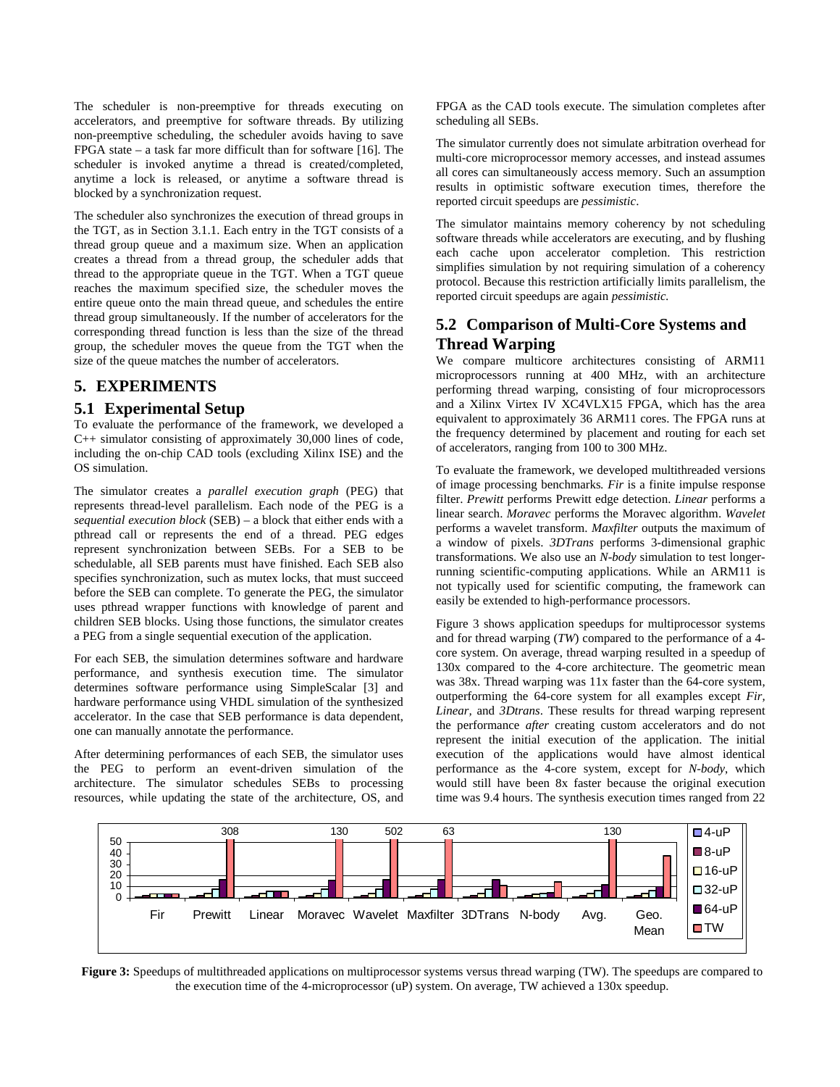The scheduler is non-preemptive for threads executing on accelerators, and preemptive for software threads. By utilizing non-preemptive scheduling, the scheduler avoids having to save FPGA state – a task far more difficult than for software [16]. The scheduler is invoked anytime a thread is created/completed, anytime a lock is released, or anytime a software thread is blocked by a synchronization request.

The scheduler also synchronizes the execution of thread groups in the TGT, as in Section 3.1.1. Each entry in the TGT consists of a thread group queue and a maximum size. When an application creates a thread from a thread group, the scheduler adds that thread to the appropriate queue in the TGT. When a TGT queue reaches the maximum specified size, the scheduler moves the entire queue onto the main thread queue, and schedules the entire thread group simultaneously. If the number of accelerators for the corresponding thread function is less than the size of the thread group, the scheduler moves the queue from the TGT when the size of the queue matches the number of accelerators.

# **5. EXPERIMENTS**

# **5.1 Experimental Setup**

To evaluate the performance of the framework, we developed a C++ simulator consisting of approximately 30,000 lines of code, including the on-chip CAD tools (excluding Xilinx ISE) and the OS simulation.

The simulator creates a *parallel execution graph* (PEG) that represents thread-level parallelism. Each node of the PEG is a *sequential execution block* (SEB) – a block that either ends with a pthread call or represents the end of a thread. PEG edges represent synchronization between SEBs. For a SEB to be schedulable, all SEB parents must have finished. Each SEB also specifies synchronization, such as mutex locks, that must succeed before the SEB can complete. To generate the PEG, the simulator uses pthread wrapper functions with knowledge of parent and children SEB blocks. Using those functions, the simulator creates a PEG from a single sequential execution of the application.

For each SEB, the simulation determines software and hardware performance, and synthesis execution time. The simulator determines software performance using SimpleScalar [3] and hardware performance using VHDL simulation of the synthesized accelerator. In the case that SEB performance is data dependent, one can manually annotate the performance.

After determining performances of each SEB, the simulator uses the PEG to perform an event-driven simulation of the architecture. The simulator schedules SEBs to processing resources, while updating the state of the architecture, OS, and

FPGA as the CAD tools execute. The simulation completes after scheduling all SEBs.

The simulator currently does not simulate arbitration overhead for multi-core microprocessor memory accesses, and instead assumes all cores can simultaneously access memory. Such an assumption results in optimistic software execution times, therefore the reported circuit speedups are *pessimistic*.

The simulator maintains memory coherency by not scheduling software threads while accelerators are executing, and by flushing each cache upon accelerator completion. This restriction simplifies simulation by not requiring simulation of a coherency protocol. Because this restriction artificially limits parallelism, the reported circuit speedups are again *pessimistic.*

# **5.2 Comparison of Multi-Core Systems and Thread Warping**

We compare multicore architectures consisting of ARM11 microprocessors running at 400 MHz, with an architecture performing thread warping, consisting of four microprocessors and a Xilinx Virtex IV XC4VLX15 FPGA, which has the area equivalent to approximately 36 ARM11 cores. The FPGA runs at the frequency determined by placement and routing for each set of accelerators, ranging from 100 to 300 MHz.

To evaluate the framework, we developed multithreaded versions of image processing benchmarks*. Fir* is a finite impulse response filter. *Prewitt* performs Prewitt edge detection. *Linear* performs a linear search. *Moravec* performs the Moravec algorithm. *Wavelet* performs a wavelet transform. *Maxfilter* outputs the maximum of a window of pixels. *3DTrans* performs 3-dimensional graphic transformations. We also use an *N-body* simulation to test longerrunning scientific-computing applications. While an ARM11 is not typically used for scientific computing, the framework can easily be extended to high-performance processors.

Figure 3 shows application speedups for multiprocessor systems and for thread warping (*TW*) compared to the performance of a 4 core system. On average, thread warping resulted in a speedup of 130x compared to the 4-core architecture. The geometric mean was 38x. Thread warping was 11x faster than the 64-core system, outperforming the 64-core system for all examples except *Fir, Linear,* and *3Dtrans*. These results for thread warping represent the performance *after* creating custom accelerators and do not represent the initial execution of the application. The initial execution of the applications would have almost identical performance as the 4-core system, except for *N-body*, which would still have been 8x faster because the original execution time was 9.4 hours. The synthesis execution times ranged from 22



**Figure 3:** Speedups of multithreaded applications on multiprocessor systems versus thread warping (TW). The speedups are compared to the execution time of the 4-microprocessor (uP) system. On average, TW achieved a 130x speedup.